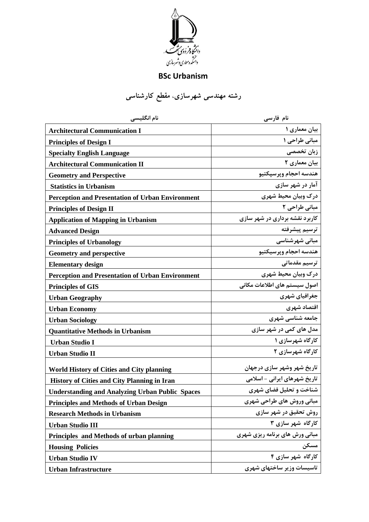

## **BSc Urbanism**

**رشته مهندسی شهرسازی**، **مقطع کارشناسی**

| نام انگلیسی                                             | نام فارسی                      |
|---------------------------------------------------------|--------------------------------|
| <b>Architectural Communication I</b>                    | بیان معماری ۱                  |
| <b>Principles of Design I</b>                           | مبانی طراحی ۱                  |
| <b>Specialty English Language</b>                       | زبان تخصصی                     |
| <b>Architectural Communication II</b>                   | بیان معماری ٢                  |
| <b>Geometry and Perspective</b>                         | هندسه احجام وپرسپكتيو          |
| <b>Statistics in Urbanism</b>                           | آمار در شهر سازی               |
| <b>Perception and Presentation of Urban Environment</b> | درک وبیان محیط شهری            |
| <b>Principles of Design II</b>                          | مبانی طراحی ۲                  |
| <b>Application of Mapping in Urbanism</b>               | کاربرد نقشه برداری در شهر سازی |
| <b>Advanced Design</b>                                  | ترسيم پيشرفته                  |
| <b>Principles of Urbanology</b>                         | مبانی شهرشناسی                 |
| <b>Geometry and perspective</b>                         | هندسه احجام ويرسيكتيو          |
| <b>Elementary design</b>                                | ترسیم مقدماتے ِ                |
| <b>Perception and Presentation of Urban Environment</b> | درک وبیان محیط شهری            |
| <b>Principles of GIS</b>                                | اصول سیستم های اطلاعات مکانی   |
| <b>Urban Geography</b>                                  | جغرافیای شهری                  |
| <b>Urban Economy</b>                                    | اقتصاد شهري                    |
| <b>Urban Sociology</b>                                  | جامعه شناسی شهری               |
| <b>Quantitative Methods in Urbanism</b>                 | مدل های کمی در شهر سازی        |
| <b>Urban Studio I</b>                                   | کارگاه شهرسازی ۱               |
| <b>Urban Studio II</b>                                  | کارگاه شهرسازی ۲               |
| <b>World History of Cities and City planning</b>        | تاریخ شهر وشهر سازی درجهان     |
| <b>History of Cities and City Planning in Iran</b>      | تاریخ شهرهای ایرانی - اسلامی   |
| <b>Understanding and Analyzing Urban Public Spaces</b>  | شناخت و تحلیل فضای شهری        |
| <b>Principles and Methods of Urban Design</b>           | مبانی وروش های طراحی شهری      |
| <b>Research Methods in Urbanism</b>                     | روش تحقیق در شهر سازی          |
| <b>Urban Studio III</b>                                 | کارگاه شهر سازی ۳              |
| Principles and Methods of urban planning                | مبانی ورش های برنامه ریزی شهری |
| <b>Housing Policies</b>                                 | مسكن                           |
| <b>Urban Studio IV</b>                                  | کارگاه شهر سازی ۴              |
| <b>Urban Infrastructure</b>                             | تاسیسات وزیر ساختهای شهری      |